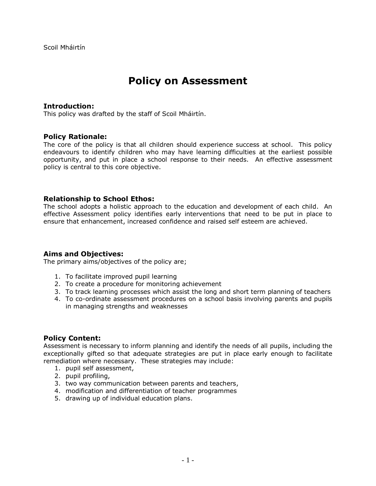# **Policy on Assessment**

## **Introduction:**

This policy was drafted by the staff of Scoil Mháirtín.

## **Policy Rationale:**

The core of the policy is that all children should experience success at school. This policy endeavours to identify children who may have learning difficulties at the earliest possible opportunity, and put in place a school response to their needs. An effective assessment policy is central to this core objective.

## **Relationship to School Ethos:**

The school adopts a holistic approach to the education and development of each child. An effective Assessment policy identifies early interventions that need to be put in place to ensure that enhancement, increased confidence and raised self esteem are achieved.

#### **Aims and Objectives:**

The primary aims/objectives of the policy are;

- 1. To facilitate improved pupil learning
- 2. To create a procedure for monitoring achievement
- 3. To track learning processes which assist the long and short term planning of teachers
- 4. To co-ordinate assessment procedures on a school basis involving parents and pupils in managing strengths and weaknesses

## **Policy Content:**

Assessment is necessary to inform planning and identify the needs of all pupils, including the exceptionally gifted so that adequate strategies are put in place early enough to facilitate remediation where necessary. These strategies may include:

- 1. pupil self assessment,
- 2. pupil profiling,
- 3. two way communication between parents and teachers,
- 4. modification and differentiation of teacher programmes
- 5. drawing up of individual education plans.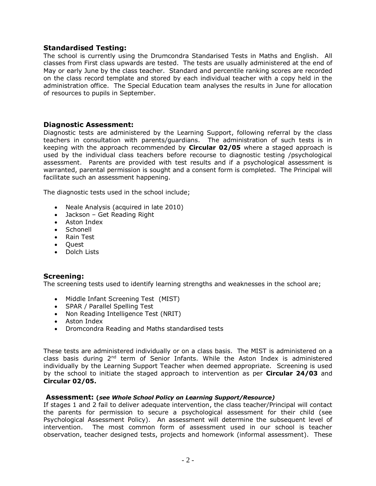## **Standardised Testing:**

The school is currently using the Drumcondra Standarised Tests in Maths and English. All classes from First class upwards are tested. The tests are usually administered at the end of May or early June by the class teacher. Standard and percentile ranking scores are recorded on the class record template and stored by each individual teacher with a copy held in the administration office. The Special Education team analyses the results in June for allocation of resources to pupils in September.

## **Diagnostic Assessment:**

Diagnostic tests are administered by the Learning Support, following referral by the class teachers in consultation with parents/guardians. The administration of such tests is in keeping with the approach recommended by **Circular 02/05** where a staged approach is used by the individual class teachers before recourse to diagnostic testing /psychological assessment. Parents are provided with test results and if a psychological assessment is warranted, parental permission is sought and a consent form is completed. The Principal will facilitate such an assessment happening.

The diagnostic tests used in the school include;

- Neale Analysis (acquired in late 2010)
- Jackson Get Reading Right
- Aston Index
- Schonell
- Rain Test
- Ouest
- Dolch Lists

## **Screening:**

The screening tests used to identify learning strengths and weaknesses in the school are;

- Middle Infant Screening Test (MIST)
- SPAR / Parallel Spelling Test
- Non Reading Intelligence Test (NRIT)
- Aston Index
- Dromcondra Reading and Maths standardised tests

These tests are administered individually or on a class basis. The MIST is administered on a class basis during  $2<sup>nd</sup>$  term of Senior Infants. While the Aston Index is administered individually by the Learning Support Teacher when deemed appropriate. Screening is used by the school to initiate the staged approach to intervention as per **Circular 24/03** and **Circular 02/05.**

#### **Assessment: (***see Whole School Policy on Learning Support/Resource)*

If stages 1 and 2 fail to deliver adequate intervention, the class teacher/Principal will contact the parents for permission to secure a psychological assessment for their child (see Psychological Assessment Policy). An assessment will determine the subsequent level of intervention. The most common form of assessment used in our school is teacher observation, teacher designed tests, projects and homework (informal assessment). These